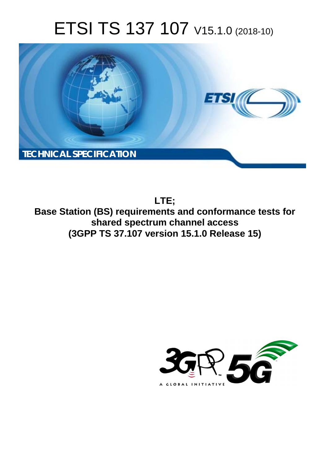# ETSI TS 137 107 V15.1.0 (2018-10)



**LTE; Base Station (BS) requirements and conformance tests for shared spectrum channel access (3GPP TS 37.107 version 15.1.0 Release 15)** 

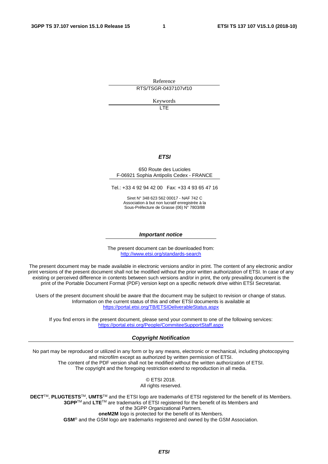Reference

RTS/TSGR-0437107vf10

Keywords

LTE

### *ETSI*

#### 650 Route des Lucioles F-06921 Sophia Antipolis Cedex - FRANCE

Tel.: +33 4 92 94 42 00 Fax: +33 4 93 65 47 16

Siret N° 348 623 562 00017 - NAF 742 C Association à but non lucratif enregistrée à la Sous-Préfecture de Grasse (06) N° 7803/88

#### *Important notice*

The present document can be downloaded from: <http://www.etsi.org/standards-search>

The present document may be made available in electronic versions and/or in print. The content of any electronic and/or print versions of the present document shall not be modified without the prior written authorization of ETSI. In case of any existing or perceived difference in contents between such versions and/or in print, the only prevailing document is the print of the Portable Document Format (PDF) version kept on a specific network drive within ETSI Secretariat.

Users of the present document should be aware that the document may be subject to revision or change of status. Information on the current status of this and other ETSI documents is available at <https://portal.etsi.org/TB/ETSIDeliverableStatus.aspx>

If you find errors in the present document, please send your comment to one of the following services: <https://portal.etsi.org/People/CommiteeSupportStaff.aspx>

#### *Copyright Notification*

No part may be reproduced or utilized in any form or by any means, electronic or mechanical, including photocopying and microfilm except as authorized by written permission of ETSI. The content of the PDF version shall not be modified without the written authorization of ETSI. The copyright and the foregoing restriction extend to reproduction in all media.

> © ETSI 2018. All rights reserved.

**DECT**TM, **PLUGTESTS**TM, **UMTS**TM and the ETSI logo are trademarks of ETSI registered for the benefit of its Members. **3GPP**TM and **LTE**TM are trademarks of ETSI registered for the benefit of its Members and of the 3GPP Organizational Partners. **oneM2M** logo is protected for the benefit of its Members.

**GSM**® and the GSM logo are trademarks registered and owned by the GSM Association.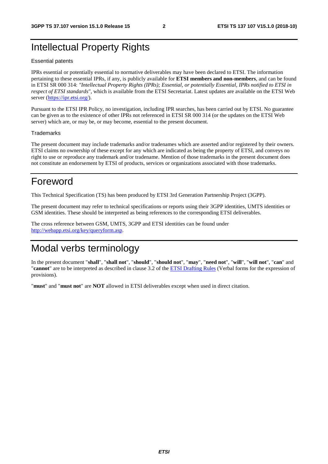# Intellectual Property Rights

#### Essential patents

IPRs essential or potentially essential to normative deliverables may have been declared to ETSI. The information pertaining to these essential IPRs, if any, is publicly available for **ETSI members and non-members**, and can be found in ETSI SR 000 314: *"Intellectual Property Rights (IPRs); Essential, or potentially Essential, IPRs notified to ETSI in respect of ETSI standards"*, which is available from the ETSI Secretariat. Latest updates are available on the ETSI Web server ([https://ipr.etsi.org/\)](https://ipr.etsi.org/).

Pursuant to the ETSI IPR Policy, no investigation, including IPR searches, has been carried out by ETSI. No guarantee can be given as to the existence of other IPRs not referenced in ETSI SR 000 314 (or the updates on the ETSI Web server) which are, or may be, or may become, essential to the present document.

#### **Trademarks**

The present document may include trademarks and/or tradenames which are asserted and/or registered by their owners. ETSI claims no ownership of these except for any which are indicated as being the property of ETSI, and conveys no right to use or reproduce any trademark and/or tradename. Mention of those trademarks in the present document does not constitute an endorsement by ETSI of products, services or organizations associated with those trademarks.

# Foreword

This Technical Specification (TS) has been produced by ETSI 3rd Generation Partnership Project (3GPP).

The present document may refer to technical specifications or reports using their 3GPP identities, UMTS identities or GSM identities. These should be interpreted as being references to the corresponding ETSI deliverables.

The cross reference between GSM, UMTS, 3GPP and ETSI identities can be found under [http://webapp.etsi.org/key/queryform.asp.](http://webapp.etsi.org/key/queryform.asp)

# Modal verbs terminology

In the present document "**shall**", "**shall not**", "**should**", "**should not**", "**may**", "**need not**", "**will**", "**will not**", "**can**" and "**cannot**" are to be interpreted as described in clause 3.2 of the [ETSI Drafting Rules](https://portal.etsi.org/Services/editHelp!/Howtostart/ETSIDraftingRules.aspx) (Verbal forms for the expression of provisions).

"**must**" and "**must not**" are **NOT** allowed in ETSI deliverables except when used in direct citation.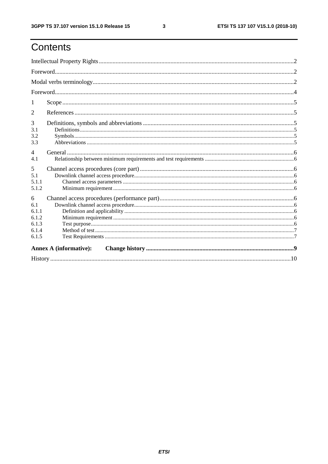# Contents

| 1                                                     |                               |  |  |  |
|-------------------------------------------------------|-------------------------------|--|--|--|
| $\overline{2}$                                        |                               |  |  |  |
| 3<br>3.1<br>3.2<br>3.3                                |                               |  |  |  |
| $\overline{4}$<br>4.1                                 |                               |  |  |  |
| 5<br>5.1<br>5.1.1<br>5.1.2                            |                               |  |  |  |
| 6<br>6.1<br>6.1.1<br>6.1.2<br>6.1.3<br>6.1.4<br>6.1.5 |                               |  |  |  |
|                                                       | <b>Annex A (informative):</b> |  |  |  |
|                                                       |                               |  |  |  |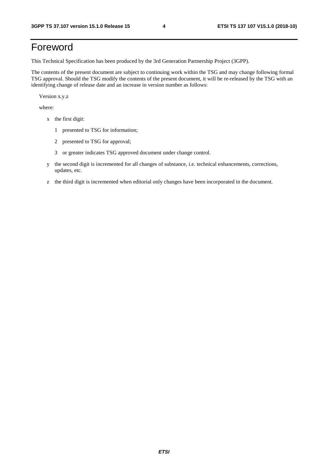# Foreword

This Technical Specification has been produced by the 3rd Generation Partnership Project (3GPP).

The contents of the present document are subject to continuing work within the TSG and may change following formal TSG approval. Should the TSG modify the contents of the present document, it will be re-released by the TSG with an identifying change of release date and an increase in version number as follows:

Version x.y.z

where:

- x the first digit:
	- 1 presented to TSG for information;
	- 2 presented to TSG for approval;
	- 3 or greater indicates TSG approved document under change control.
- y the second digit is incremented for all changes of substance, i.e. technical enhancements, corrections, updates, etc.
- z the third digit is incremented when editorial only changes have been incorporated in the document.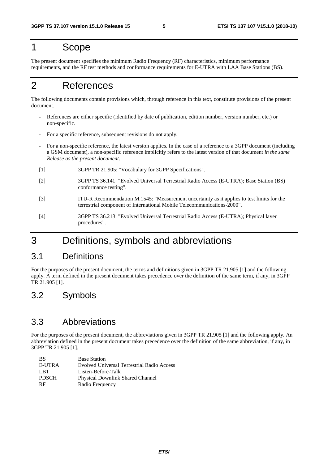# 1 Scope

The present document specifies the minimum Radio Frequency (RF) characteristics, minimum performance requirements, and the RF test methods and conformance requirements for E-UTRA with LAA Base Stations (BS).

# 2 References

The following documents contain provisions which, through reference in this text, constitute provisions of the present document.

- References are either specific (identified by date of publication, edition number, version number, etc.) or non-specific.
- For a specific reference, subsequent revisions do not apply.
- For a non-specific reference, the latest version applies. In the case of a reference to a 3GPP document (including a GSM document), a non-specific reference implicitly refers to the latest version of that document *in the same Release as the present document*.
- [1] 3GPP TR 21.905: "Vocabulary for 3GPP Specifications".
- [2] 3GPP TS 36.141: "Evolved Universal Terrestrial Radio Access (E-UTRA); Base Station (BS) conformance testing".
- [3] ITU-R Recommendation M.1545: "Measurement uncertainty as it applies to test limits for the terrestrial component of International Mobile Telecommunications-2000".
- [4] 3GPP TS 36.213: "Evolved Universal Terrestrial Radio Access (E-UTRA); Physical layer procedures".

## 3 Definitions, symbols and abbreviations

### 3.1 Definitions

For the purposes of the present document, the terms and definitions given in 3GPP TR 21.905 [1] and the following apply. A term defined in the present document takes precedence over the definition of the same term, if any, in 3GPP TR 21.905 [1].

### 3.2 Symbols

### 3.3 Abbreviations

For the purposes of the present document, the abbreviations given in 3GPP TR 21.905 [1] and the following apply. An abbreviation defined in the present document takes precedence over the definition of the same abbreviation, if any, in 3GPP TR 21.905 [1].

| <b>BS</b>    | <b>Base Station</b>                               |
|--------------|---------------------------------------------------|
| E-UTRA       | <b>Evolved Universal Terrestrial Radio Access</b> |
| LBT.         | Listen-Before-Talk                                |
| <b>PDSCH</b> | <b>Physical Downlink Shared Channel</b>           |
| <b>RF</b>    | Radio Frequency                                   |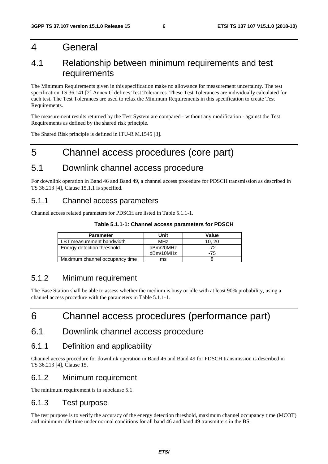## 4 General

### 4.1 Relationship between minimum requirements and test requirements

The Minimum Requirements given in this specification make no allowance for measurement uncertainty. The test specification TS 36.141 [2] Annex G defines Test Tolerances. These Test Tolerances are individually calculated for each test. The Test Tolerances are used to relax the Minimum Requirements in this specification to create Test Requirements.

The measurement results returned by the Test System are compared - without any modification - against the Test Requirements as defined by the shared risk principle.

The Shared Risk principle is defined in ITU-R M.1545 [3].

# 5 Channel access procedures (core part)

### 5.1 Downlink channel access procedure

For downlink operation in Band 46 and Band 49, a channel access procedure for PDSCH transmission as described in TS 36.213 [4], Clause 15.1.1 is specified.

### 5.1.1 Channel access parameters

Channel access related parameters for PDSCH are listed in Table 5.1.1-1.

### **Table 5.1.1-1: Channel access parameters for PDSCH**

| <b>Parameter</b>               | Unit            | Value |
|--------------------------------|-----------------|-------|
| LBT measurement bandwidth      | MH <sub>7</sub> | 10.20 |
| Energy detection threshold     | dBm/20MHz       | -72   |
|                                | dBm/10MHz       | -75   |
| Maximum channel occupancy time | ms              |       |

### 5.1.2 Minimum requirement

The Base Station shall be able to assess whether the medium is busy or idle with at least 90% probability, using a channel access procedure with the parameters in Table 5.1.1-1.

# 6 Channel access procedures (performance part)

### 6.1 Downlink channel access procedure

### 6.1.1 Definition and applicability

Channel access procedure for downlink operation in Band 46 and Band 49 for PDSCH transmission is described in TS 36.213 [4], Clause 15.

### 6.1.2 Minimum requirement

The minimum requirement is in subclause 5.1.

### 6.1.3 Test purpose

The test purpose is to verify the accuracy of the energy detection threshold, maximum channel occupancy time (MCOT) and minimum idle time under normal conditions for all band 46 and band 49 transmitters in the BS.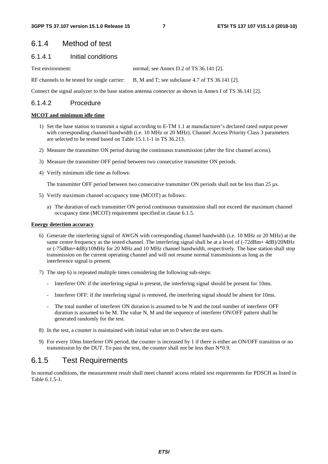### 6.1.4 Method of test

### 6.1.4.1 Initial conditions

Test environment: normal; see Annex D.2 of TS 36.141 [2].

RF channels to be tested for single carrier: B, M and T; see subclause 4.7 of TS 36.141 [2].

Connect the signal analyzer to the base station antenna connector as shown in Annex I of TS 36.141 [2].

### 6.1.4.2 Procedure

#### **MCOT and minimum idle time**

- 1) Set the base station to transmit a signal according to E-TM 1.1 at manufacturer's declared rated output power with corresponding channel bandwidth (i.e. 10 MHz or 20 MHz). Channel Access Priority Class 3 parameters are selected to be tested based on Table 15.1.1-1 in TS 36.213.
- 2) Measure the transmitter ON period during the continuous transmission (after the first channel access).
- 3) Measure the transmitter OFF period between two consecutive transmitter ON periods.
- 4) Verify minimum idle time as follows:

The transmitter OFF period between two consecutive transmitter ON periods shall not be less than 25 µs.

- 5) Verify maximum channel occupancy time (MCOT) as follows:
	- a) The duration of each transmitter ON period continuous transmission shall not exceed the maximum channel occupancy time (MCOT) requirement specified in clause 6.1.5.

#### **Energy detection accuracy**

- 6) Generate the interfering signal of AWGN with corresponding channel bandwidth (i.e. 10 MHz or 20 MHz) at the same centre frequency as the tested channel. The interfering signal shall be at a level of  $(-72dBm+4dB)/20MHz$ or (-75dBm+4dB)/10MHz for 20 MHz and 10 MHz channel bandwidth, respectively. The base station shall stop transmission on the current operating channel and will not resume normal transmissions as long as the interference signal is present.
- 7) The step 6) is repeated multiple times considering the following sub-steps:
	- Interferer ON: if the interfering signal is present, the interfering signal should be present for 10ms.
	- Interferer OFF: if the interfering signal is removed, the interfering signal should be absent for 10ms.
	- The total number of interferer ON duration is assumed to be N and the total number of interferer OFF duration is assumed to be M. The value N, M and the sequence of interferer ON/OFF pattern shall be generated randomly for the test.
- 8) In the test, a counter is maintained with initial value set to 0 when the test starts.
- 9) For every 10ms Interferer ON period, the counter is increased by 1 if there is either an ON/OFF transition or no transmission by the DUT. To pass the test, the counter shall not be less than  $N*0.9$ .

### 6.1.5 Test Requirements

In normal conditions, the measurement result shall meet channel access related test requirements for PDSCH as listed in Table 6.1.5-1.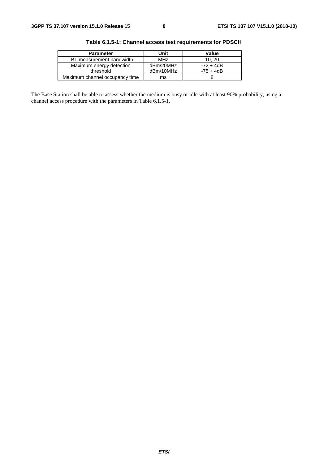| <b>Parameter</b>               | Unit            | Value       |
|--------------------------------|-----------------|-------------|
| LBT measurement bandwidth      | MH <sub>7</sub> | 10.20       |
| Maximum energy detection       | dBm/20MHz       | $-72 + 4dB$ |
| threshold                      | dBm/10MHz       | $-75 + 4dB$ |
| Maximum channel occupancy time | ms              |             |

**Table 6.1.5-1: Channel access test requirements for PDSCH** 

The Base Station shall be able to assess whether the medium is busy or idle with at least 90% probability, using a channel access procedure with the parameters in Table 6.1.5-1.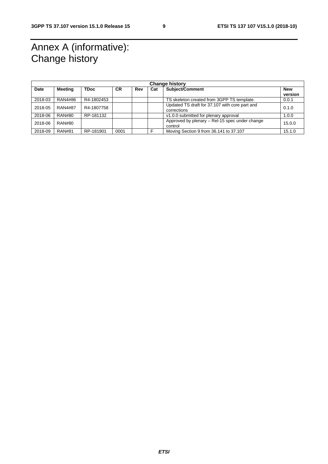# Annex A (informative): Change history

| <b>Change history</b> |                |             |           |     |     |                                                               |                       |
|-----------------------|----------------|-------------|-----------|-----|-----|---------------------------------------------------------------|-----------------------|
| Date                  | <b>Meeting</b> | <b>TDoc</b> | <b>CR</b> | Rev | Cat | Subject/Comment                                               | <b>New</b><br>version |
| 2018-03               | RAN4#86        | R4-1802453  |           |     |     | TS skeleton created from 3GPP TS template.                    | 0.0.1                 |
| 2018-05               | <b>RAN4#87</b> | R4-1807758  |           |     |     | Updated TS draft for 37.107 with core part and<br>corrections | 0.1.0                 |
| 2018-06               | <b>RAN#80</b>  | RP-181132   |           |     |     | v1.0.0 submitted for plenary approval                         | 1.0.0                 |
| 2018-06               | RAN#80         |             |           |     |     | Approved by plenary – Rel-15 spec under change<br>control     | 15.0.0                |
| 2018-09               | <b>RAN#81</b>  | RP-181901   | 0001      |     |     | Moving Section 9 from 36.141 to 37.107                        | 15.1.0                |